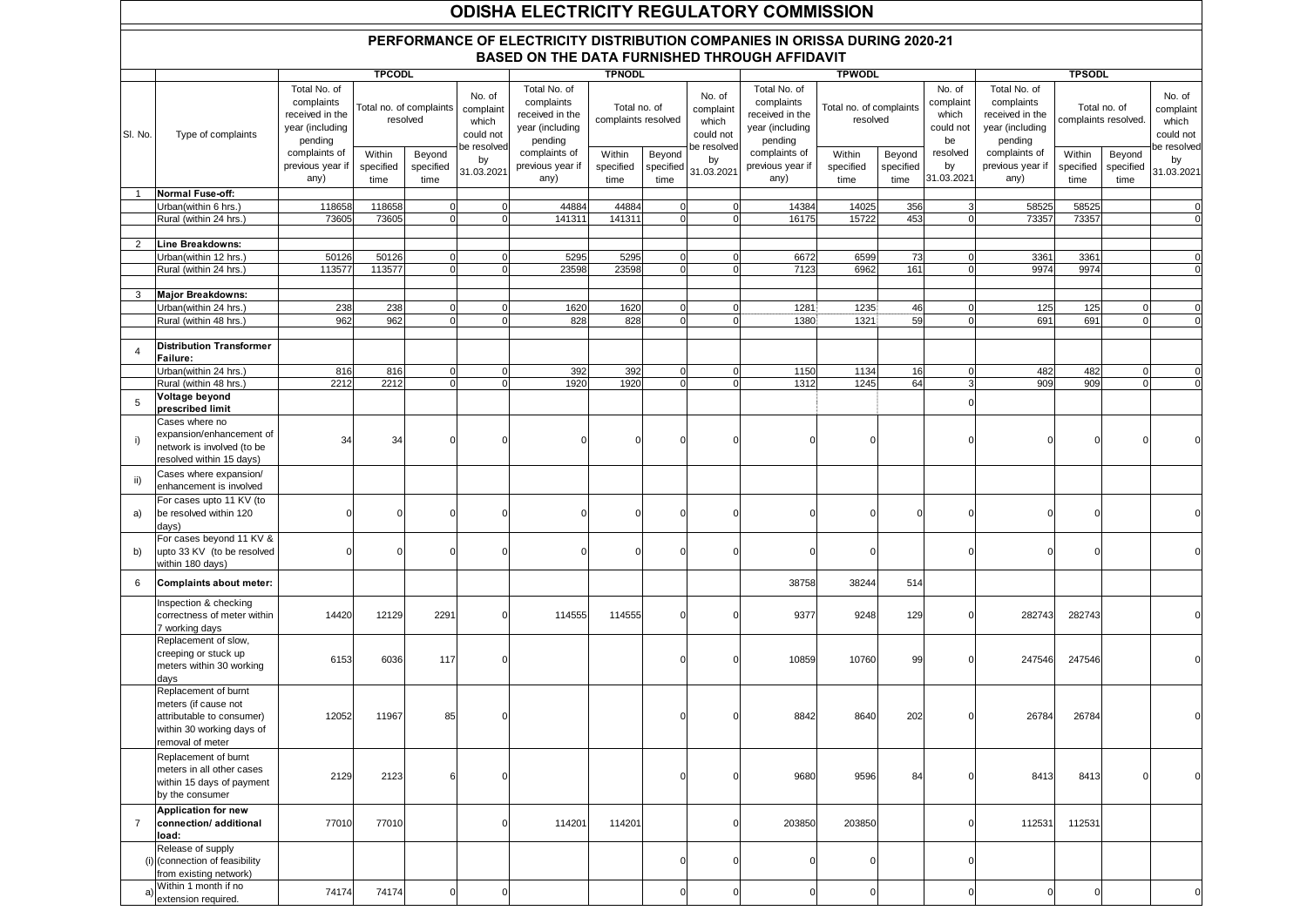## **ODISHA ELECTRICITY REGULATORY COMMISSION**

## **PERFORMANCE OF ELECTRICITY DISTRIBUTION COMPANIES IN ORISSA DURING 2020-21 BASED ON THE DATA FURNISHED THROUGH AFFIDAVIT**

|                |                                                                                                                            | <b>TPCODL</b>                                                               |                                     |                             |                                                          |                                                                             | <b>TPNODL</b>                       |                             |                                                          |                                                                             | <b>TPWODL</b>                       |                             |                                                 |                                                                             | <b>TPSODL</b>                        |                             |                                                          |  |
|----------------|----------------------------------------------------------------------------------------------------------------------------|-----------------------------------------------------------------------------|-------------------------------------|-----------------------------|----------------------------------------------------------|-----------------------------------------------------------------------------|-------------------------------------|-----------------------------|----------------------------------------------------------|-----------------------------------------------------------------------------|-------------------------------------|-----------------------------|-------------------------------------------------|-----------------------------------------------------------------------------|--------------------------------------|-----------------------------|----------------------------------------------------------|--|
| SI. No.        | Type of complaints                                                                                                         | Total No. of<br>complaints<br>received in the<br>year (including<br>pending | Total no. of complaints<br>resolved |                             | No. of<br>complaint<br>which<br>could not<br>be resolved | Total No. of<br>complaints<br>received in the<br>year (including<br>pending | Total no. of<br>complaints resolved |                             | No. of<br>complaint<br>which<br>could not<br>be resolved | Total No. of<br>complaints<br>received in the<br>year (including<br>pending | Total no. of complaints<br>resolved |                             | No. of<br>complaint<br>which<br>could not<br>be | Total No. of<br>complaints<br>received in the<br>year (including<br>pending | Total no. of<br>complaints resolved. |                             | No. of<br>complaint<br>which<br>could not<br>be resolved |  |
|                |                                                                                                                            | complaints of<br>previous year if<br>any)                                   | Within<br>specified<br>time         | Beyond<br>specified<br>time | by<br>31.03.2021                                         | complaints of<br>previous year if<br>any)                                   | Within<br>specified<br>time         | Beyond<br>specified<br>time | by<br>31.03.2021                                         | complaints of<br>previous year if<br>any)                                   | Within<br>specified<br>time         | Beyond<br>specified<br>time | resolved<br>by<br>31.03.2021                    | complaints of<br>previous year if<br>any)                                   | Within<br>specified<br>time          | Beyond<br>specified<br>time | by<br>31.03.2021                                         |  |
| -1             | Normal Fuse-off:                                                                                                           |                                                                             |                                     |                             |                                                          |                                                                             |                                     |                             |                                                          |                                                                             |                                     |                             |                                                 |                                                                             |                                      |                             |                                                          |  |
|                | Urban(within 6 hrs.)                                                                                                       | 118658                                                                      | 118658                              | $\mathbf 0$                 |                                                          | 44884                                                                       | 44884                               |                             | $\mathbf 0$                                              | 14384                                                                       | 14025                               | 356                         |                                                 | 58525                                                                       | 58525                                |                             | $\mathbf 0$                                              |  |
|                | Rural (within 24 hrs.                                                                                                      | 73605                                                                       | 73605                               | $\Omega$                    |                                                          | 141311                                                                      | 141311                              |                             | $\Omega$                                                 | 16175                                                                       | 15722                               | 453                         |                                                 | 73357                                                                       | 73357                                |                             | $\Omega$                                                 |  |
|                |                                                                                                                            |                                                                             |                                     |                             |                                                          |                                                                             |                                     |                             |                                                          |                                                                             |                                     |                             |                                                 |                                                                             |                                      |                             |                                                          |  |
| 2              | Line Breakdowns:                                                                                                           |                                                                             |                                     |                             |                                                          |                                                                             |                                     |                             |                                                          |                                                                             |                                     |                             |                                                 |                                                                             |                                      |                             |                                                          |  |
|                | Urban(within 12 hrs.)                                                                                                      | 50126                                                                       | 50126                               |                             |                                                          | 5295                                                                        | 5295                                |                             | $\Omega$                                                 | 6672                                                                        | 6599                                | 73                          |                                                 | 3361                                                                        | 3361                                 |                             | $\mathbf{0}$                                             |  |
|                | Rural (within 24 hrs.)                                                                                                     | 113577                                                                      | 113577                              | $\Omega$                    |                                                          | 23598                                                                       | 23598                               |                             | $\Omega$                                                 | 7123                                                                        | 6962                                | 161                         |                                                 | 9974                                                                        | 9974                                 |                             | $\Omega$                                                 |  |
|                |                                                                                                                            |                                                                             |                                     |                             |                                                          |                                                                             |                                     |                             |                                                          |                                                                             |                                     |                             |                                                 |                                                                             |                                      |                             |                                                          |  |
| 3              | <b>Major Breakdowns:</b>                                                                                                   |                                                                             |                                     |                             |                                                          |                                                                             |                                     |                             |                                                          |                                                                             |                                     |                             |                                                 |                                                                             |                                      |                             |                                                          |  |
|                | Urban(within 24 hrs.)                                                                                                      | 238                                                                         | 238                                 |                             |                                                          | 1620                                                                        | 1620                                |                             |                                                          | 1281                                                                        | 1235                                | 46                          |                                                 | 125                                                                         | 125                                  |                             | $\overline{0}$                                           |  |
|                | Rural (within 48 hrs.)                                                                                                     | 962                                                                         | 962                                 | $\Omega$                    | $\Omega$                                                 | 828                                                                         | 828                                 | $\Omega$                    | $\mathbf 0$                                              | 1380                                                                        | 1321                                | 59                          |                                                 | 691                                                                         | 691                                  |                             | $\mathbf 0$                                              |  |
|                |                                                                                                                            |                                                                             |                                     |                             |                                                          |                                                                             |                                     |                             |                                                          |                                                                             |                                     |                             |                                                 |                                                                             |                                      |                             |                                                          |  |
| $\overline{4}$ | <b>Distribution Transformer</b><br>Failure:                                                                                |                                                                             |                                     |                             |                                                          |                                                                             |                                     |                             |                                                          |                                                                             |                                     |                             |                                                 |                                                                             |                                      |                             |                                                          |  |
|                | Urban(within 24 hrs.                                                                                                       | 816                                                                         | 816                                 | $\mathbf{0}$                | $\Omega$                                                 | 392                                                                         | 392                                 | $\Omega$                    | $\mathbf 0$                                              | 1150                                                                        | 1134                                | 16                          |                                                 | 482                                                                         | 482                                  |                             | $\mathbf{O}$                                             |  |
|                | Rural (within 48 hrs.                                                                                                      | 2212                                                                        | 2212                                | $\Omega$                    | C                                                        | 1920                                                                        | 1920                                |                             | $\mathbf 0$                                              | 1312                                                                        | 1245                                | 64                          |                                                 | 909                                                                         | 909                                  |                             | $\overline{0}$                                           |  |
| 5              | Voltage beyond<br>prescribed limit                                                                                         |                                                                             |                                     |                             |                                                          |                                                                             |                                     |                             |                                                          |                                                                             |                                     |                             |                                                 |                                                                             |                                      |                             |                                                          |  |
| i)             | Cases where no<br>expansion/enhancement of<br>network is involved (to be                                                   | 34                                                                          | 34                                  |                             |                                                          |                                                                             |                                     |                             |                                                          |                                                                             |                                     |                             |                                                 |                                                                             |                                      |                             |                                                          |  |
| ii)            | resolved within 15 days)<br>Cases where expansion/                                                                         |                                                                             |                                     |                             |                                                          |                                                                             |                                     |                             |                                                          |                                                                             |                                     |                             |                                                 |                                                                             |                                      |                             |                                                          |  |
| a)             | enhancement is involved<br>For cases upto 11 KV (to<br>be resolved within 120                                              |                                                                             | $\Omega$                            |                             | C                                                        | $\cap$                                                                      |                                     |                             | $\Omega$                                                 |                                                                             | $\Omega$                            |                             |                                                 | n                                                                           |                                      |                             | $\mathbf{0}$                                             |  |
|                | days)<br>For cases beyond 11 KV &                                                                                          |                                                                             |                                     |                             |                                                          |                                                                             |                                     |                             |                                                          |                                                                             |                                     |                             |                                                 |                                                                             |                                      |                             |                                                          |  |
| b)             | upto 33 KV (to be resolved<br>within 180 days)                                                                             |                                                                             | $\Omega$                            |                             |                                                          |                                                                             |                                     |                             | $\Omega$                                                 |                                                                             | $\Omega$                            |                             |                                                 |                                                                             |                                      |                             | $\overline{0}$                                           |  |
| 6              | Complaints about meter:<br>Inspection & checking                                                                           |                                                                             |                                     |                             |                                                          |                                                                             |                                     |                             |                                                          | 38758                                                                       | 38244                               | 514                         |                                                 |                                                                             |                                      |                             |                                                          |  |
|                | correctness of meter within<br>7 working days                                                                              | 14420                                                                       | 12129                               | 2291                        | C                                                        | 114555                                                                      | 114555                              |                             | $\Omega$                                                 | 9377                                                                        | 9248                                | 129                         |                                                 | 282743                                                                      | 282743                               |                             | $\mathbf{0}$                                             |  |
|                | Replacement of slow,<br>creeping or stuck up<br>meters within 30 working<br>days                                           | 6153                                                                        | 6036                                | 117                         |                                                          |                                                                             |                                     |                             | $\Omega$                                                 | 10859                                                                       | 10760                               | 99                          |                                                 | 247546                                                                      | 247546                               |                             |                                                          |  |
|                | Replacement of burnt<br>meters (if cause not<br>attributable to consumer)<br>within 30 working days of<br>removal of meter | 12052                                                                       | 11967                               | 85                          |                                                          |                                                                             |                                     |                             | $\Omega$                                                 | 8842                                                                        | 8640                                | 202                         |                                                 | 26784                                                                       | 26784                                |                             |                                                          |  |
|                | Replacement of burnt<br>meters in all other cases<br>within 15 days of payment<br>by the consumer                          | 2129                                                                        | 2123                                | 6                           | $\Omega$                                                 |                                                                             |                                     |                             | $\mathbf 0$                                              | 9680                                                                        | 9596                                | 84                          | $\Omega$                                        | 8413                                                                        | 8413                                 |                             | $\mathbf 0$                                              |  |
| $\overline{7}$ | <b>Application for new</b><br>connection/ additional<br>load:                                                              | 77010                                                                       | 77010                               |                             | $\Omega$                                                 | 114201                                                                      | 114201                              |                             | $\mathbf 0$                                              | 203850                                                                      | 203850                              |                             | $\Omega$                                        | 112531                                                                      | 112531                               |                             |                                                          |  |
|                | Release of supply<br>(i) (connection of feasibility<br>from existing network)                                              |                                                                             |                                     |                             |                                                          |                                                                             |                                     | C                           | $\mathbf 0$                                              |                                                                             | 0                                   |                             | $\Omega$                                        |                                                                             |                                      |                             |                                                          |  |
|                | Within 1 month if no<br>extension required.                                                                                | 74174                                                                       | 74174                               | $\Omega$                    | C                                                        |                                                                             |                                     |                             | $\Omega$                                                 |                                                                             | $\mathbf 0$                         |                             |                                                 | $\mathbf 0$                                                                 | $\Omega$                             |                             | $\mathbf 0$                                              |  |